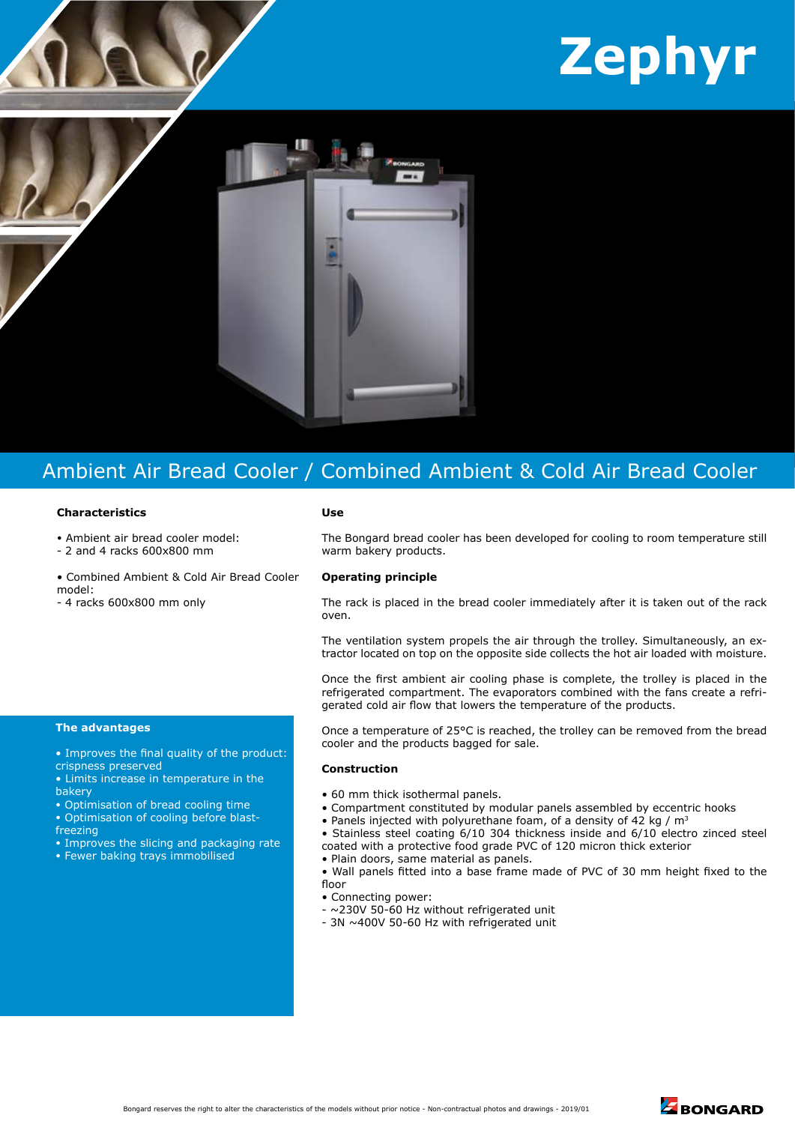# **Zephyr**



# Ambient Air Bread Cooler / Combined Ambient & Cold Air Bread Cooler

## **Characteristics**

- Ambient air bread cooler model:
- 2 and 4 racks 600x800 mm
- Combined Ambient & Cold Air Bread Cooler model:
- 4 racks 600x800 mm only

#### **Use**

The Bongard bread cooler has been developed for cooling to room temperature still warm bakery products.

## **Operating principle**

The rack is placed in the bread cooler immediately after it is taken out of the rack oven.

The ventilation system propels the air through the trolley. Simultaneously, an extractor located on top on the opposite side collects the hot air loaded with moisture.

Once the first ambient air cooling phase is complete, the trolley is placed in the refrigerated compartment. The evaporators combined with the fans create a refrigerated cold air flow that lowers the temperature of the products.

Once a temperature of 25°C is reached, the trolley can be removed from the bread cooler and the products bagged for sale.

#### **Construction**

- 60 mm thick isothermal panels.
- Compartment constituted by modular panels assembled by eccentric hooks
- Panels injected with polyurethane foam, of a density of 42 kg /  $m<sup>3</sup>$
- Stainless steel coating 6/10 304 thickness inside and 6/10 electro zinced steel coated with a protective food grade PVC of 120 micron thick exterior
- Plain doors, same material as panels.
- Wall panels fitted into a base frame made of PVC of 30 mm height fixed to the floor
- Connecting power:
- ~230V 50-60 Hz without refrigerated unit
- 3N ~400V 50-60 Hz with refrigerated unit

### **The advantages**

- Improves the final quality of the product: crispness preserved
- Limits increase in temperature in the bakery
- Optimisation of bread cooling time
- Optimisation of cooling before blastfreezing
- Improves the slicing and packaging rate
- Fewer baking trays immobilised

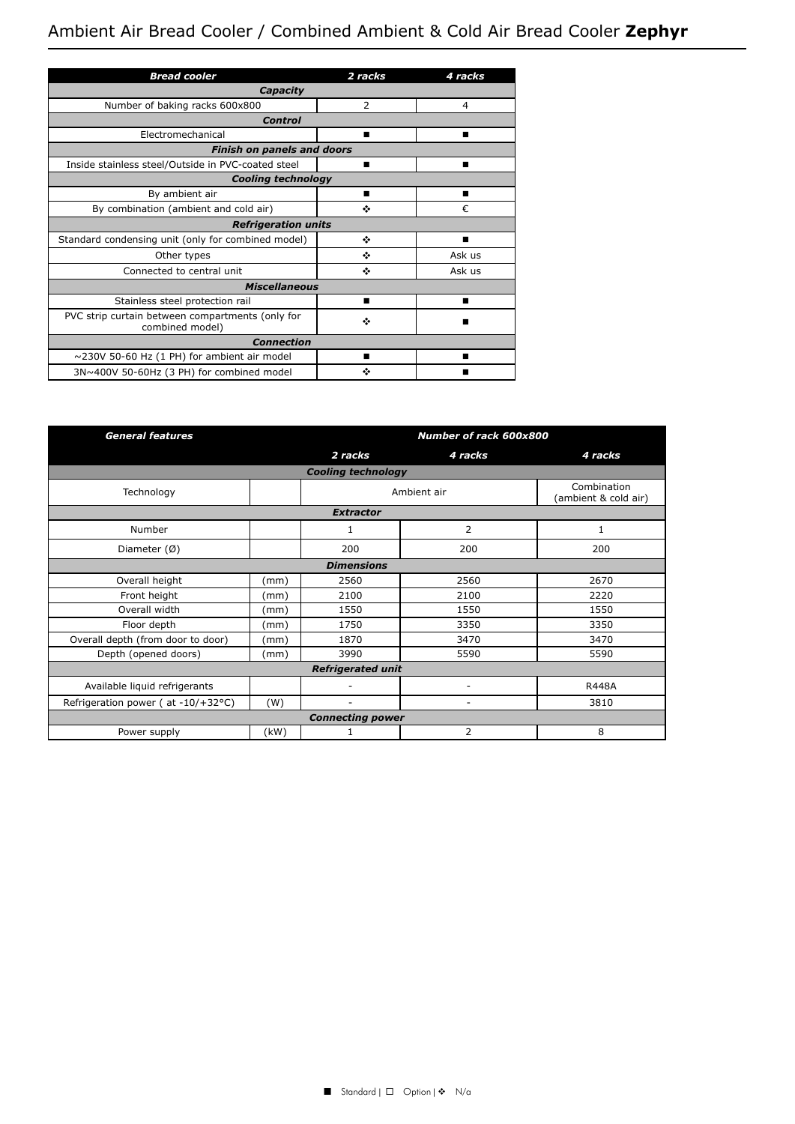# Ambient Air Bread Cooler / Combined Ambient & Cold Air Bread Cooler **Zephyr**

| <b>Bread cooler</b>                                                 | 2 racks        | 4 racks |  |  |  |
|---------------------------------------------------------------------|----------------|---------|--|--|--|
| Capacity                                                            |                |         |  |  |  |
| Number of baking racks 600x800                                      | $\overline{2}$ | 4       |  |  |  |
| Control                                                             |                |         |  |  |  |
| Electromechanical                                                   | ■              | ■       |  |  |  |
| <b>Finish on panels and doors</b>                                   |                |         |  |  |  |
| Inside stainless steel/Outside in PVC-coated steel                  | ▬              | ▬       |  |  |  |
| <b>Cooling technology</b>                                           |                |         |  |  |  |
| By ambient air                                                      | ■              | ■       |  |  |  |
| By combination (ambient and cold air)                               | ٠              | €       |  |  |  |
| <b>Refrigeration units</b>                                          |                |         |  |  |  |
| Standard condensing unit (only for combined model)                  | ❖              | ▬       |  |  |  |
| Other types                                                         | ٠              | Ask us  |  |  |  |
| Connected to central unit                                           | ٠              | Ask us  |  |  |  |
| <b>Miscellaneous</b>                                                |                |         |  |  |  |
| Stainless steel protection rail                                     | ■              | ■       |  |  |  |
| PVC strip curtain between compartments (only for<br>combined model) | ❖              |         |  |  |  |
| <b>Connection</b>                                                   |                |         |  |  |  |
| $\sim$ 230V 50-60 Hz (1 PH) for ambient air model                   |                | ▬       |  |  |  |
| 3N~400V 50-60Hz (3 PH) for combined model                           | ٠              |         |  |  |  |

| <b>General features</b>                |      | Number of rack 600x800 |                |                                     |  |
|----------------------------------------|------|------------------------|----------------|-------------------------------------|--|
|                                        |      | 2 racks                | 4 racks        | 4 racks                             |  |
| <b>Cooling technology</b>              |      |                        |                |                                     |  |
| Technology                             |      | Ambient air            |                | Combination<br>(ambient & cold air) |  |
| <b>Extractor</b>                       |      |                        |                |                                     |  |
| Number                                 |      | 1                      | 2              | 1                                   |  |
| Diameter $(\emptyset)$                 |      | 200                    | 200            | 200                                 |  |
| <b>Dimensions</b>                      |      |                        |                |                                     |  |
| Overall height                         | (mm) | 2560                   | 2560           | 2670                                |  |
| Front height                           | (mm) | 2100                   | 2100           | 2220                                |  |
| Overall width                          | (mm) | 1550                   | 1550           | 1550                                |  |
| Floor depth                            | (mm) | 1750                   | 3350           | 3350                                |  |
| Overall depth (from door to door)      | (mm) | 1870                   | 3470           | 3470                                |  |
| Depth (opened doors)                   | (mm) | 3990                   | 5590           | 5590                                |  |
| <b>Refrigerated unit</b>               |      |                        |                |                                     |  |
| Available liquid refrigerants          |      |                        |                | <b>R448A</b>                        |  |
| Refrigeration power ( $at -10/+32°C$ ) | (W)  | ٠                      | ۰              | 3810                                |  |
| <b>Connecting power</b>                |      |                        |                |                                     |  |
| Power supply                           | (kW) | $\mathbf{1}$           | $\overline{2}$ | 8                                   |  |